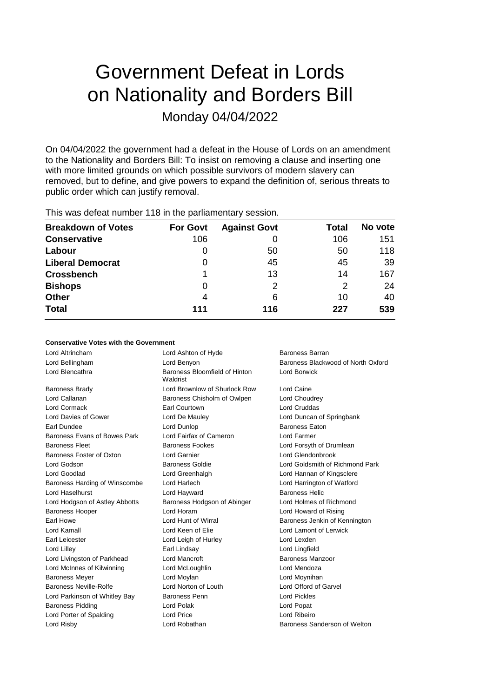# Government Defeat in Lords on Nationality and Borders Bill Monday 04/04/2022

On 04/04/2022 the government had a defeat in the House of Lords on an amendment to the Nationality and Borders Bill: To insist on removing a clause and inserting one with more limited grounds on which possible survivors of modern slavery can removed, but to define, and give powers to expand the definition of, serious threats to public order which can justify removal.

| <b>Breakdown of Votes</b> | <b>For Govt</b> | <b>Against Govt</b> | Total | No vote |
|---------------------------|-----------------|---------------------|-------|---------|
| <b>Conservative</b>       | 106             |                     | 106   | 151     |
| Labour                    | 0               | 50                  | 50    | 118     |
| <b>Liberal Democrat</b>   | 0               | 45                  | 45    | -39     |
| <b>Crossbench</b>         |                 | 13                  | 14    | 167     |
| <b>Bishops</b>            | 0               | 2                   | 2     | 24      |
| <b>Other</b>              | 4               | 6                   | 10    | 40      |
| <b>Total</b>              | 111             | 116                 | 227   | 539     |
|                           |                 |                     |       |         |

This was defeat number 118 in the parliamentary session.

### **Conservative Votes with the Government**

Lord Blencathra **Baroness Bloomfield of Hinton** Baroness Brady Lord Brownlow of Shurlock Row Lord Caine Lord Callanan **Baroness Chisholm of Owlpen** Lord Choudrey Lord Cormack Earl Courtown Lord Cruddas Lord Davies of Gower Lord De Mauley Lord Duncan of Springbank Earl Dundee Lord Dunlop Baroness Eaton Baroness Evans of Bowes Park Lord Fairfax of Cameron Lord Farmer Baroness Fleet **Baroness Fookes** Lord Forsyth of Drumlean Baroness Foster of Oxton Lord Garnier Lord Glendonbrook Lord Godson Baroness Goldie Lord Goldsmith of Richmond Park Lord Goodlad Lord Greenhalgh Lord Hannan of Kingsclere Baroness Harding of Winscombe Lord Harlech Lord Harrington of Watford Lord Haselhurst **Lord Hayward** Lord Hayward **Baroness Helic** Lord Hodgson of Astley Abbotts Baroness Hodgson of Abinger Lord Holmes of Richmond Baroness Hooper Lord Horam Lord Howard of Rising Earl Howe **Lord Hunt of Wirral Baroness Jenkin of Kennington** Baroness Jenkin of Kennington Lord Kamall Lord Keen of Elie Lord Lamont of Lerwick Earl Leicester **Lord Leigh of Hurley** Lord Lexden Lord Lilley Earl Lindsay Lord Lingfield Lord Livingston of Parkhead Lord Mancroft **Baroness Manzoor** Lord McInnes of Kilwinning Lord McLoughlin Lord Mendoza Baroness Meyer **Lord Moylan** Lord Moylan **Lord Moylan** Lord Moynihan Baroness Neville-Rolfe Lord Norton of Louth Lord Offord of Garvel Lord Parkinson of Whitley Bay Baroness Penn **Lord Pickles** Baroness Pidding **Communist Communist Communist Communist Communist Communist Communist Communist Communist Communist Communist Communist Communist Communist Communist Communist Communist Communist Communist Communist Comm** Lord Porter of Spalding Lord Price Lord Ribeiro Lord Risby Lord Robathan Baroness Sanderson of Welton

Lord Altrincham Lord Ashton of Hyde Baroness Barran Waldrist

Lord Bellingham **Lord Benyon** Baroness Blackwood of North Oxford Benyon Lord Borwick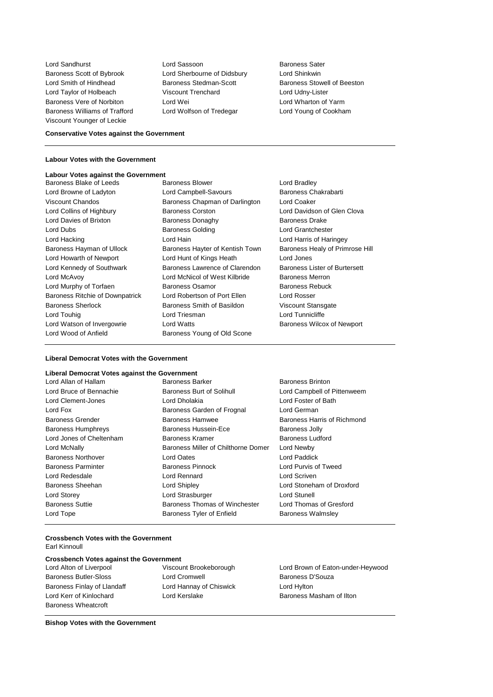Baroness Scott of Bybrook Lord Sherbourne of Didsbury Lord Shinkwin Lord Smith of Hindhead Baroness Stedman-Scott Baroness Stowell of Beeston Lord Taylor of Holbeach Viscount Trenchard Lord Udny-Lister Baroness Vere of Norbiton **Lord Wei** Lord Wei Lord Wharton of Yarm Baroness Williams of Trafford Lord Wolfson of Tredegar Lord Young of Cookham Viscount Younger of Leckie

**Lord Sandhurst Lord Sassoon** Baroness Sater

### **Conservative Votes against the Government**

### **Labour Votes with the Government**

## **Labour Votes against the Government**

Lord Wood of Anfield Baroness Young of Old Scone

Baroness Blake of Leeds Baroness Blower Baroness Blower Lord Browne of Ladyton **Lord Campbell-Savours** Baroness Chakrabarti Viscount Chandos Baroness Chapman of Darlington Lord Coaker Lord Collins of Highbury **Baroness Corston** Corston Lord Davidson of Glen Clova Lord Davies of Brixton **Baroness Donaghy** Baroness Drake Lord Dubs **Baroness Golding Baroness Golding Lord Grantchester** Lord Hacking Lord Hain Lord Harris of Haringey Baroness Hayman of Ullock Baroness Hayter of Kentish Town Baroness Healy of Primrose Hill Lord Howarth of Newport Lord Hunt of Kings Heath Lord Jones Lord Kennedy of Southwark Baroness Lawrence of Clarendon Baroness Lister of Burtersett Lord McAvoy Lord McNicol of West Kilbride Baroness Merron Lord Murphy of Torfaen **Baroness Osamor** Baroness Rebuck Baroness Ritchie of Downpatrick Lord Robertson of Port Ellen Lord Rosser Baroness Sherlock Baroness Smith of Basildon Viscount Stansgate Lord Touhig **Lord Triesman** Lord Triesman **Lord Tunnicliffe** Lord Watson of Invergowrie **Lord Watts Conserversity** Baroness Wilcox of Newport

### **Liberal Democrat Votes with the Government**

| Liberal Democrat Votes against the Government |                                     |                             |
|-----------------------------------------------|-------------------------------------|-----------------------------|
| Lord Allan of Hallam                          | <b>Baroness Barker</b>              | <b>Baroness Brinton</b>     |
| Lord Bruce of Bennachie                       | Baroness Burt of Solihull           | Lord Campbell of Pittenweem |
| Lord Clement-Jones                            | Lord Dholakia                       | Lord Foster of Bath         |
| Lord Fox                                      | Baroness Garden of Frognal          | Lord German                 |
| <b>Baroness Grender</b>                       | <b>Baroness Hamwee</b>              | Baroness Harris of Richmond |
| <b>Baroness Humphreys</b>                     | Baroness Hussein-Ece                | <b>Baroness Jolly</b>       |
| Lord Jones of Cheltenham                      | Baroness Kramer                     | Baroness Ludford            |
| Lord McNally                                  | Baroness Miller of Chilthorne Domer | Lord Newby                  |
| <b>Baroness Northover</b>                     | Lord Oates                          | Lord Paddick                |
| <b>Baroness Parminter</b>                     | Baroness Pinnock                    | Lord Purvis of Tweed        |
| Lord Redesdale                                | Lord Rennard                        | Lord Scriven                |
| <b>Baroness Sheehan</b>                       | Lord Shipley                        | Lord Stoneham of Droxford   |
| Lord Storey                                   | Lord Strasburger                    | Lord Stunell                |
| <b>Baroness Suttie</b>                        | Baroness Thomas of Winchester       | Lord Thomas of Gresford     |
| Lord Tope                                     | Baroness Tyler of Enfield           | <b>Baroness Walmsley</b>    |

### **Crossbench Votes with the Government** Earl Kinnoull

### **Crossbench Votes against the Government<br>
Lord Alton of Liverpool Viscount Brookeborough**

| Lord Alton of Liverpool      |
|------------------------------|
| <b>Baroness Butler-Sloss</b> |
| Baroness Finlay of Llandaff  |
| Lord Kerr of Kinlochard      |
| <b>Baroness Wheatcroft</b>   |

Lord Cromwell **Baroness D'Souza** Lord Hannay of Chiswick Lord Hylton

Lord Brown of Eaton-under-Heywood Lord Kerslake **Baroness Masham of Ilton** 

**Bishop Votes with the Government**